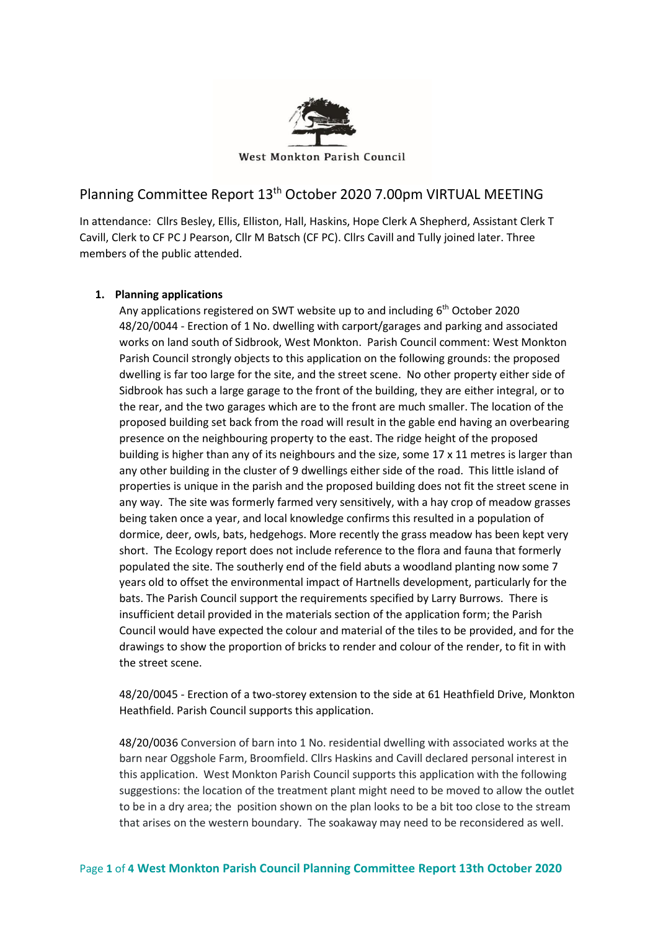

# Planning Committee Report 13th October 2020 7.00pm VIRTUAL MEETING

In attendance: Cllrs Besley, Ellis, Elliston, Hall, Haskins, Hope Clerk A Shepherd, Assistant Clerk T Cavill, Clerk to CF PC J Pearson, Cllr M Batsch (CF PC). Cllrs Cavill and Tully joined later. Three members of the public attended.

# **1. Planning applications**

Any applications registered on SWT website up to and including 6<sup>th</sup> October 2020 48/20/0044 - Erection of 1 No. dwelling with carport/garages and parking and associated works on land south of Sidbrook, West Monkton. Parish Council comment: West Monkton Parish Council strongly objects to this application on the following grounds: the proposed dwelling is far too large for the site, and the street scene. No other property either side of Sidbrook has such a large garage to the front of the building, they are either integral, or to the rear, and the two garages which are to the front are much smaller. The location of the proposed building set back from the road will result in the gable end having an overbearing presence on the neighbouring property to the east. The ridge height of the proposed building is higher than any of its neighbours and the size, some 17 x 11 metres is larger than any other building in the cluster of 9 dwellings either side of the road. This little island of properties is unique in the parish and the proposed building does not fit the street scene in any way. The site was formerly farmed very sensitively, with a hay crop of meadow grasses being taken once a year, and local knowledge confirms this resulted in a population of dormice, deer, owls, bats, hedgehogs. More recently the grass meadow has been kept very short. The Ecology report does not include reference to the flora and fauna that formerly populated the site. The southerly end of the field abuts a woodland planting now some 7 years old to offset the environmental impact of Hartnells development, particularly for the bats. The Parish Council support the requirements specified by Larry Burrows. There is insufficient detail provided in the materials section of the application form; the Parish Council would have expected the colour and material of the tiles to be provided, and for the drawings to show the proportion of bricks to render and colour of the render, to fit in with the street scene.

48/20/0045 - Erection of a two-storey extension to the side at 61 Heathfield Drive, Monkton Heathfield. Parish Council supports this application.

48/20/0036 Conversion of barn into 1 No. residential dwelling with associated works at the barn near Oggshole Farm, Broomfield. Cllrs Haskins and Cavill declared personal interest in this application. West Monkton Parish Council supports this application with the following suggestions: the location of the treatment plant might need to be moved to allow the outlet to be in a dry area; the position shown on the plan looks to be a bit too close to the stream that arises on the western boundary. The soakaway may need to be reconsidered as well.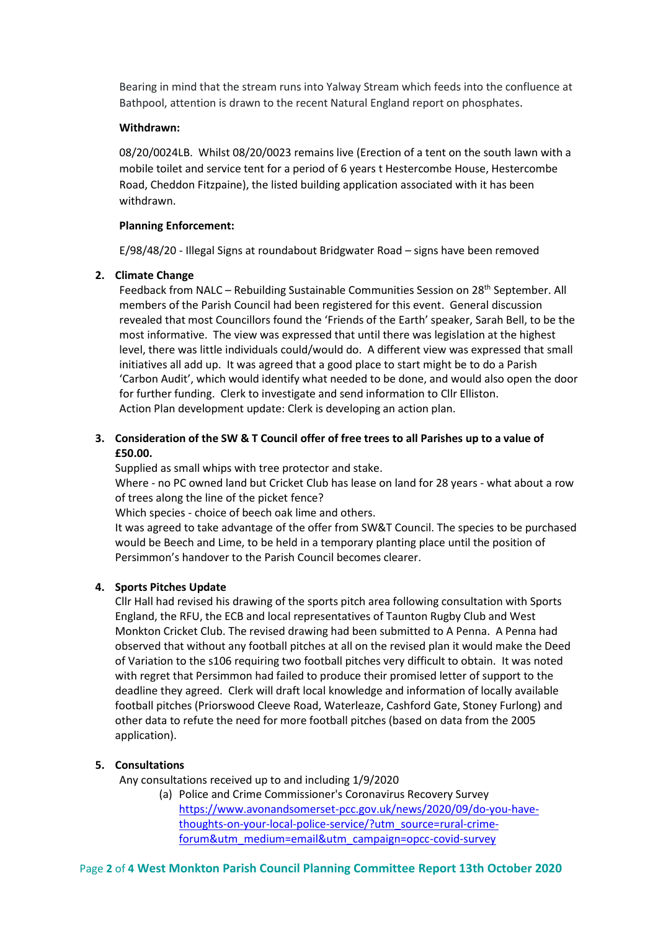Bearing in mind that the stream runs into Yalway Stream which feeds into the confluence at Bathpool, attention is drawn to the recent Natural England report on phosphates.

#### **Withdrawn:**

08/20/0024LB. Whilst 08/20/0023 remains live (Erection of a tent on the south lawn with a mobile toilet and service tent for a period of 6 years t Hestercombe House, Hestercombe Road, Cheddon Fitzpaine), the listed building application associated with it has been withdrawn.

### **Planning Enforcement:**

E/98/48/20 - Illegal Signs at roundabout Bridgwater Road – signs have been removed

#### **2. Climate Change**

Feedback from NALC – Rebuilding Sustainable Communities Session on 28<sup>th</sup> September. All members of the Parish Council had been registered for this event. General discussion revealed that most Councillors found the 'Friends of the Earth' speaker, Sarah Bell, to be the most informative. The view was expressed that until there was legislation at the highest level, there was little individuals could/would do. A different view was expressed that small initiatives all add up. It was agreed that a good place to start might be to do a Parish 'Carbon Audit', which would identify what needed to be done, and would also open the door for further funding. Clerk to investigate and send information to Cllr Elliston. Action Plan development update: Clerk is developing an action plan.

# **3. Consideration of the SW & T Council offer of free trees to all Parishes up to a value of £50.00.**

Supplied as small whips with tree protector and stake.

Where - no PC owned land but Cricket Club has lease on land for 28 years - what about a row of trees along the line of the picket fence?

Which species - choice of beech oak lime and others.

It was agreed to take advantage of the offer from SW&T Council. The species to be purchased would be Beech and Lime, to be held in a temporary planting place until the position of Persimmon's handover to the Parish Council becomes clearer.

## **4. Sports Pitches Update**

Cllr Hall had revised his drawing of the sports pitch area following consultation with Sports England, the RFU, the ECB and local representatives of Taunton Rugby Club and West Monkton Cricket Club. The revised drawing had been submitted to A Penna. A Penna had observed that without any football pitches at all on the revised plan it would make the Deed of Variation to the s106 requiring two football pitches very difficult to obtain. It was noted with regret that Persimmon had failed to produce their promised letter of support to the deadline they agreed. Clerk will draft local knowledge and information of locally available football pitches (Priorswood Cleeve Road, Waterleaze, Cashford Gate, Stoney Furlong) and other data to refute the need for more football pitches (based on data from the 2005 application).

## **5. Consultations**

Any consultations received up to and including 1/9/2020

(a) Police and Crime Commissioner's Coronavirus Recovery Survey [https://www.avonandsomerset-pcc.gov.uk/news/2020/09/do-you-have](https://www.avonandsomerset-pcc.gov.uk/news/2020/09/do-you-have-thoughts-on-your-local-police-service/?utm_source=rural-crime-forum&utm_medium=email&utm_campaign=opcc-covid-survey)[thoughts-on-your-local-police-service/?utm\\_source=rural-crime](https://www.avonandsomerset-pcc.gov.uk/news/2020/09/do-you-have-thoughts-on-your-local-police-service/?utm_source=rural-crime-forum&utm_medium=email&utm_campaign=opcc-covid-survey)[forum&utm\\_medium=email&utm\\_campaign=opcc-covid-survey](https://www.avonandsomerset-pcc.gov.uk/news/2020/09/do-you-have-thoughts-on-your-local-police-service/?utm_source=rural-crime-forum&utm_medium=email&utm_campaign=opcc-covid-survey)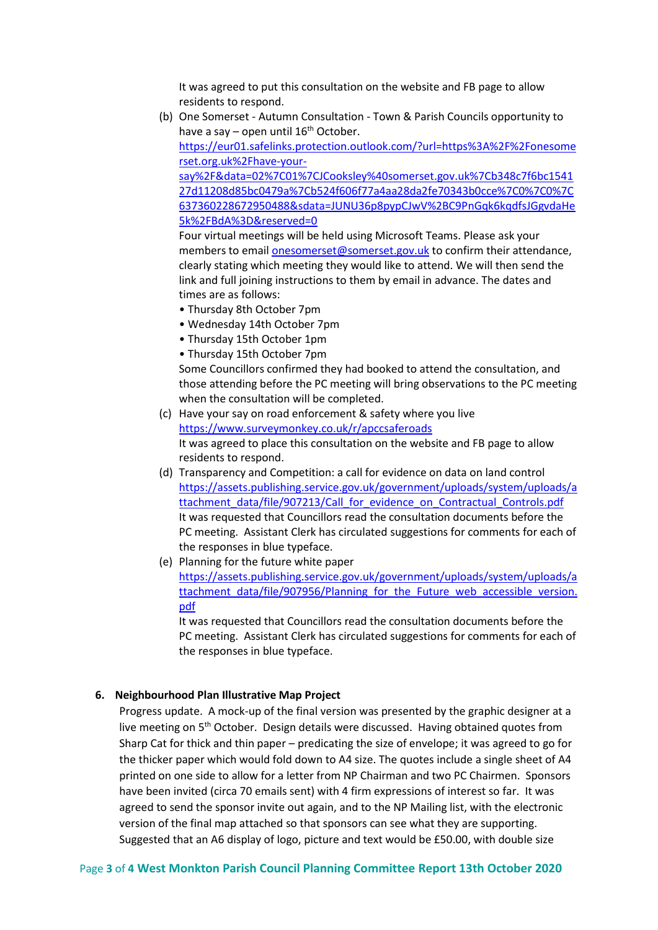It was agreed to put this consultation on the website and FB page to allow residents to respond.

(b) One Somerset - Autumn Consultation - Town & Parish Councils opportunity to have a say – open until  $16<sup>th</sup>$  October. [https://eur01.safelinks.protection.outlook.com/?url=https%3A%2F%2Fonesome](https://eur01.safelinks.protection.outlook.com/?url=https%3A%2F%2Fonesomerset.org.uk%2Fhave-your-say%2F&data=02%7C01%7CJCooksley%40somerset.gov.uk%7Cb348c7f6bc154127d11208d85bc0479a%7Cb524f606f77a4aa28da2fe70343b0cce%7C0%7C0%7C637360228672950488&sdata=JUNU36p8pypCJwV%2BC9PnGqk6kqdfsJGgvdaHe5k%2FBdA%3D&reserved=0) [rset.org.uk%2Fhave-your](https://eur01.safelinks.protection.outlook.com/?url=https%3A%2F%2Fonesomerset.org.uk%2Fhave-your-say%2F&data=02%7C01%7CJCooksley%40somerset.gov.uk%7Cb348c7f6bc154127d11208d85bc0479a%7Cb524f606f77a4aa28da2fe70343b0cce%7C0%7C0%7C637360228672950488&sdata=JUNU36p8pypCJwV%2BC9PnGqk6kqdfsJGgvdaHe5k%2FBdA%3D&reserved=0)[say%2F&data=02%7C01%7CJCooksley%40somerset.gov.uk%7Cb348c7f6bc1541](https://eur01.safelinks.protection.outlook.com/?url=https%3A%2F%2Fonesomerset.org.uk%2Fhave-your-say%2F&data=02%7C01%7CJCooksley%40somerset.gov.uk%7Cb348c7f6bc154127d11208d85bc0479a%7Cb524f606f77a4aa28da2fe70343b0cce%7C0%7C0%7C637360228672950488&sdata=JUNU36p8pypCJwV%2BC9PnGqk6kqdfsJGgvdaHe5k%2FBdA%3D&reserved=0) [27d11208d85bc0479a%7Cb524f606f77a4aa28da2fe70343b0cce%7C0%7C0%7C](https://eur01.safelinks.protection.outlook.com/?url=https%3A%2F%2Fonesomerset.org.uk%2Fhave-your-say%2F&data=02%7C01%7CJCooksley%40somerset.gov.uk%7Cb348c7f6bc154127d11208d85bc0479a%7Cb524f606f77a4aa28da2fe70343b0cce%7C0%7C0%7C637360228672950488&sdata=JUNU36p8pypCJwV%2BC9PnGqk6kqdfsJGgvdaHe5k%2FBdA%3D&reserved=0) [637360228672950488&sdata=JUNU36p8pypCJwV%2BC9PnGqk6kqdfsJGgvdaHe](https://eur01.safelinks.protection.outlook.com/?url=https%3A%2F%2Fonesomerset.org.uk%2Fhave-your-say%2F&data=02%7C01%7CJCooksley%40somerset.gov.uk%7Cb348c7f6bc154127d11208d85bc0479a%7Cb524f606f77a4aa28da2fe70343b0cce%7C0%7C0%7C637360228672950488&sdata=JUNU36p8pypCJwV%2BC9PnGqk6kqdfsJGgvdaHe5k%2FBdA%3D&reserved=0) [5k%2FBdA%3D&reserved=0](https://eur01.safelinks.protection.outlook.com/?url=https%3A%2F%2Fonesomerset.org.uk%2Fhave-your-say%2F&data=02%7C01%7CJCooksley%40somerset.gov.uk%7Cb348c7f6bc154127d11208d85bc0479a%7Cb524f606f77a4aa28da2fe70343b0cce%7C0%7C0%7C637360228672950488&sdata=JUNU36p8pypCJwV%2BC9PnGqk6kqdfsJGgvdaHe5k%2FBdA%3D&reserved=0)

Four virtual meetings will be held using Microsoft Teams. Please ask your members to email [onesomerset@somerset.gov.uk](mailto:onesomerset@somerset.gov.uk) to confirm their attendance, clearly stating which meeting they would like to attend. We will then send the link and full joining instructions to them by email in advance. The dates and times are as follows:

- Thursday 8th October 7pm
- Wednesday 14th October 7pm
- Thursday 15th October 1pm
- Thursday 15th October 7pm

Some Councillors confirmed they had booked to attend the consultation, and those attending before the PC meeting will bring observations to the PC meeting when the consultation will be completed.

- (c) Have your say on road enforcement & safety where you live <https://www.surveymonkey.co.uk/r/apccsaferoads> It was agreed to place this consultation on the website and FB page to allow residents to respond.
- (d) Transparency and Competition: a call for evidence on data on land control [https://assets.publishing.service.gov.uk/government/uploads/system/uploads/a](https://assets.publishing.service.gov.uk/government/uploads/system/uploads/attachment_data/file/907213/Call_for_evidence_on_Contractual_Controls.pdf) [ttachment\\_data/file/907213/Call\\_for\\_evidence\\_on\\_Contractual\\_Controls.pdf](https://assets.publishing.service.gov.uk/government/uploads/system/uploads/attachment_data/file/907213/Call_for_evidence_on_Contractual_Controls.pdf) It was requested that Councillors read the consultation documents before the PC meeting. Assistant Clerk has circulated suggestions for comments for each of the responses in blue typeface.
- (e) Planning for the future white paper [https://assets.publishing.service.gov.uk/government/uploads/system/uploads/a](https://assets.publishing.service.gov.uk/government/uploads/system/uploads/attachment_data/file/907956/Planning_for_the_Future_web_accessible_version.pdf) [ttachment\\_data/file/907956/Planning\\_for\\_the\\_Future\\_web\\_accessible\\_version.](https://assets.publishing.service.gov.uk/government/uploads/system/uploads/attachment_data/file/907956/Planning_for_the_Future_web_accessible_version.pdf) [pdf](https://assets.publishing.service.gov.uk/government/uploads/system/uploads/attachment_data/file/907956/Planning_for_the_Future_web_accessible_version.pdf)

It was requested that Councillors read the consultation documents before the PC meeting. Assistant Clerk has circulated suggestions for comments for each of the responses in blue typeface.

#### **6. Neighbourhood Plan Illustrative Map Project**

Progress update. A mock-up of the final version was presented by the graphic designer at a live meeting on 5<sup>th</sup> October. Design details were discussed. Having obtained quotes from Sharp Cat for thick and thin paper – predicating the size of envelope; it was agreed to go for the thicker paper which would fold down to A4 size. The quotes include a single sheet of A4 printed on one side to allow for a letter from NP Chairman and two PC Chairmen. Sponsors have been invited (circa 70 emails sent) with 4 firm expressions of interest so far. It was agreed to send the sponsor invite out again, and to the NP Mailing list, with the electronic version of the final map attached so that sponsors can see what they are supporting. Suggested that an A6 display of logo, picture and text would be £50.00, with double size